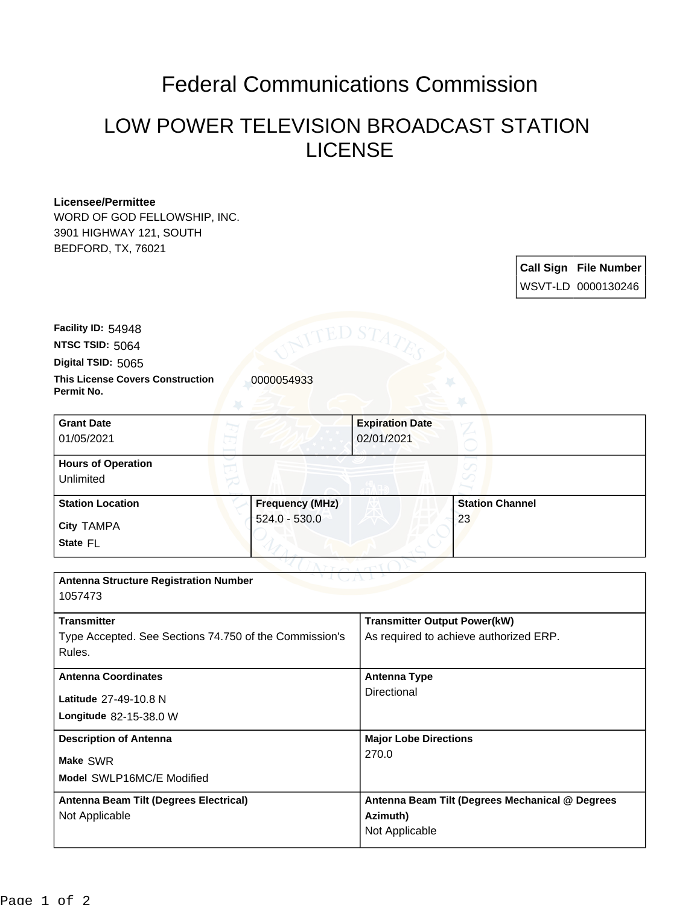## Federal Communications Commission

## LOW POWER TELEVISION BROADCAST STATION LICENSE

## **Licensee/Permittee**

WORD OF GOD FELLOWSHIP, INC. 3901 HIGHWAY 121, SOUTH BEDFORD, TX, 76021

> **Call Sign File Number** WSVT-LD 0000130246

**Digital TSID:** 5065 **NTSC TSID:** 5064 **Facility ID:** 54948

**Permit No.**

**This License Covers Construction**  0000054933

| <b>Grant Date</b><br>01/05/2021        |                        | <b>Expiration Date</b><br>02/01/2021 |                        |  |
|----------------------------------------|------------------------|--------------------------------------|------------------------|--|
| <b>Hours of Operation</b><br>Unlimited |                        |                                      |                        |  |
| <b>Station Location</b>                | <b>Frequency (MHz)</b> |                                      | <b>Station Channel</b> |  |
| <b>City TAMPA</b><br>State FL          | $524.0 - 530.0$        |                                      | 23                     |  |

| <b>Antenna Structure Registration Number</b><br>1057473                                |                                                                               |  |  |  |
|----------------------------------------------------------------------------------------|-------------------------------------------------------------------------------|--|--|--|
| <b>Transmitter</b><br>Type Accepted. See Sections 74.750 of the Commission's<br>Rules. | <b>Transmitter Output Power(kW)</b><br>As required to achieve authorized ERP. |  |  |  |
| <b>Antenna Coordinates</b><br>Latitude 27-49-10.8 N<br>Longitude 82-15-38.0 W          | <b>Antenna Type</b><br>Directional                                            |  |  |  |
| <b>Description of Antenna</b><br>Make SWR<br>Model SWLP16MC/E Modified                 | <b>Major Lobe Directions</b><br>270.0                                         |  |  |  |
| Antenna Beam Tilt (Degrees Electrical)<br>Not Applicable                               | Antenna Beam Tilt (Degrees Mechanical @ Degrees<br>Azimuth)<br>Not Applicable |  |  |  |